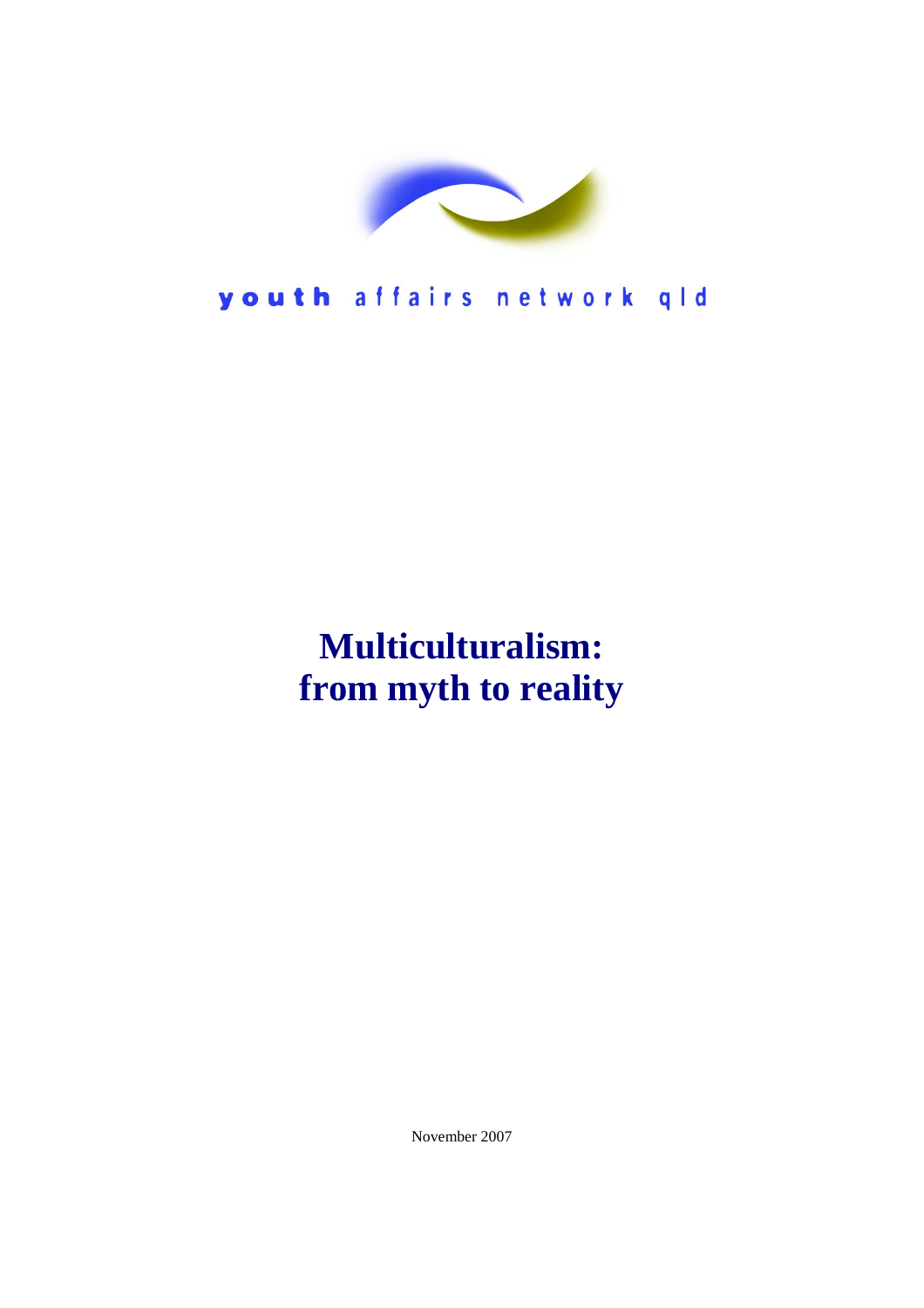

youth affairs network qld

## **Multiculturalism: from myth to reality**

November 2007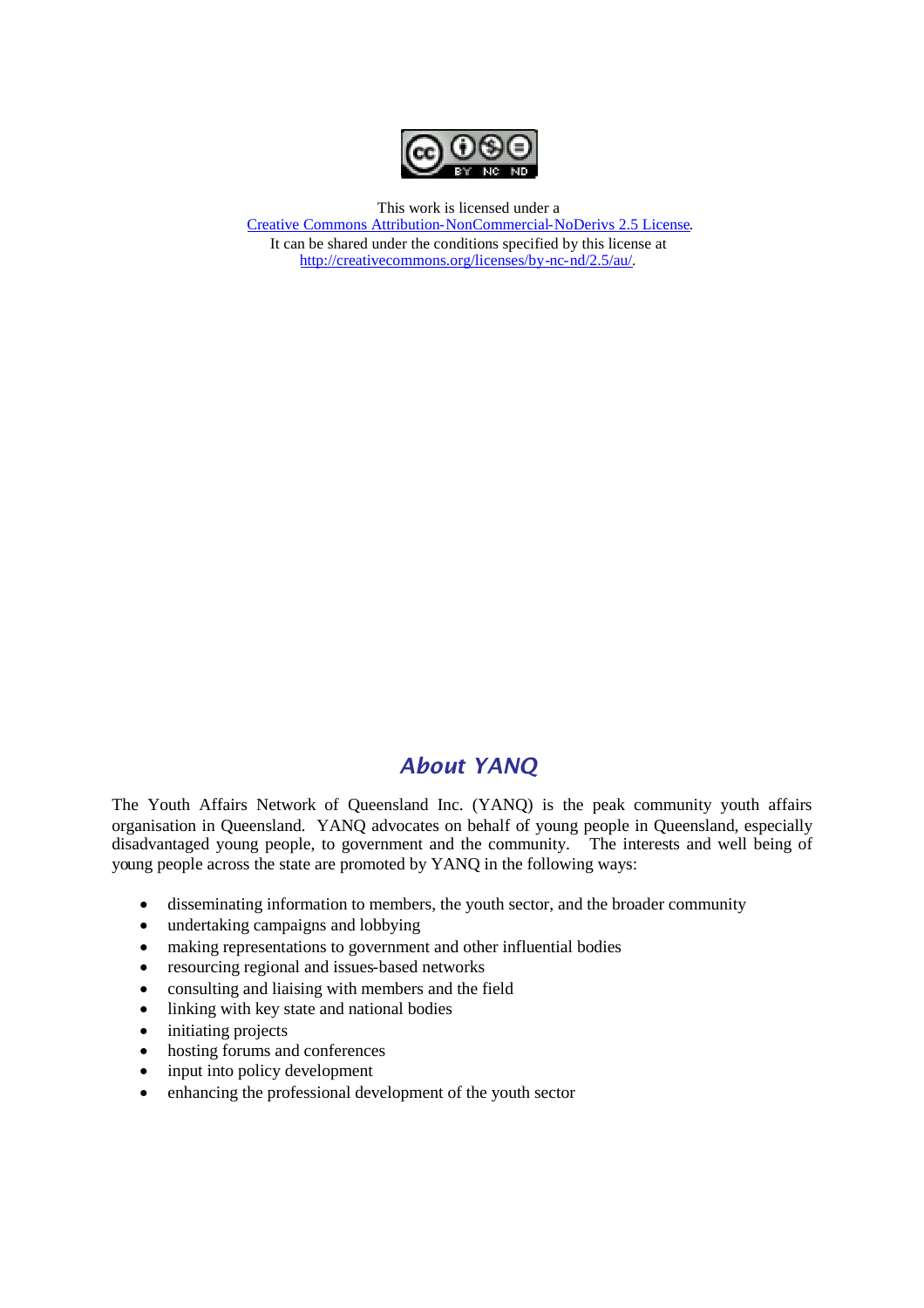

This work is licensed under a [Creative Commons Attribution-NonCommercial-NoDerivs 2.5 License.](http://creativecommons.org/licenses/by-nc-nd/2.5/au/) It can be shared under the conditions specified by this license at [http://creativecommons.org/licenses/by-nc-nd/2.5/au/.](http://creativecommons.org/licenses/by-nc-nd/2.5/au/)

## *About YANQ*

The Youth Affairs Network of Queensland Inc. (YANQ) is the peak community youth affairs organisation in Queensland. YANQ advocates on behalf of young people in Queensland, especially disadvantaged young people, to government and the community. The interests and well being of young people across the state are promoted by YANQ in the following ways:

- disseminating information to members, the youth sector, and the broader community
- undertaking campaigns and lobbying
- making representations to government and other influential bodies
- resourcing regional and issues-based networks
- consulting and liaising with members and the field
- linking with key state and national bodies
- initiating projects
- hosting forums and conferences
- input into policy development
- enhancing the professional development of the youth sector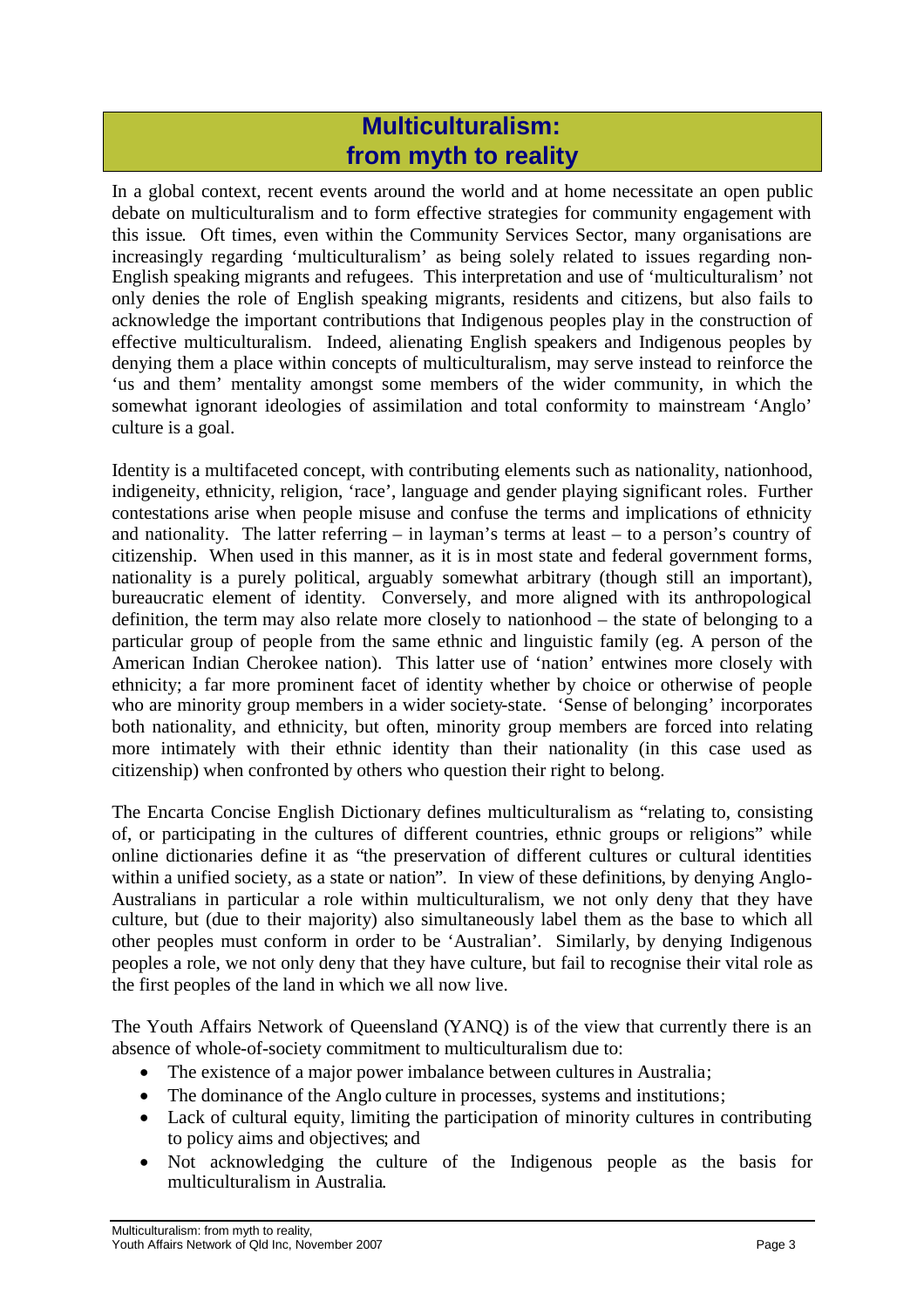## **Multiculturalism: from myth to reality**

In a global context, recent events around the world and at home necessitate an open public debate on multiculturalism and to form effective strategies for community engagement with this issue. Oft times, even within the Community Services Sector, many organisations are increasingly regarding 'multiculturalism' as being solely related to issues regarding non-English speaking migrants and refugees. This interpretation and use of 'multiculturalism' not only denies the role of English speaking migrants, residents and citizens, but also fails to acknowledge the important contributions that Indigenous peoples play in the construction of effective multiculturalism. Indeed, alienating English speakers and Indigenous peoples by denying them a place within concepts of multiculturalism, may serve instead to reinforce the 'us and them' mentality amongst some members of the wider community, in which the somewhat ignorant ideologies of assimilation and total conformity to mainstream 'Anglo' culture is a goal.

Identity is a multifaceted concept, with contributing elements such as nationality, nationhood, indigeneity, ethnicity, religion, 'race', language and gender playing significant roles. Further contestations arise when people misuse and confuse the terms and implications of ethnicity and nationality. The latter referring – in layman's terms at least – to a person's country of citizenship. When used in this manner, as it is in most state and federal government forms, nationality is a purely political, arguably somewhat arbitrary (though still an important), bureaucratic element of identity. Conversely, and more aligned with its anthropological definition, the term may also relate more closely to nationhood – the state of belonging to a particular group of people from the same ethnic and linguistic family (eg. A person of the American Indian Cherokee nation). This latter use of 'nation' entwines more closely with ethnicity; a far more prominent facet of identity whether by choice or otherwise of people who are minority group members in a wider society-state. 'Sense of belonging' incorporates both nationality, and ethnicity, but often, minority group members are forced into relating more intimately with their ethnic identity than their nationality (in this case used as citizenship) when confronted by others who question their right to belong.

The Encarta Concise English Dictionary defines multiculturalism as "relating to, consisting of, or participating in the cultures of different countries, ethnic groups or religions" while online dictionaries define it as "the preservation of different cultures or cultural identities within a unified society, as a state or nation". In view of these definitions, by denying Anglo-Australians in particular a role within multiculturalism, we not only deny that they have culture, but (due to their majority) also simultaneously label them as the base to which all other peoples must conform in order to be 'Australian'. Similarly, by denying Indigenous peoples a role, we not only deny that they have culture, but fail to recognise their vital role as the first peoples of the land in which we all now live.

The Youth Affairs Network of Queensland (YANQ) is of the view that currently there is an absence of whole-of-society commitment to multiculturalism due to:

- The existence of a major power imbalance between cultures in Australia;
- The dominance of the Anglo culture in processes, systems and institutions;
- Lack of cultural equity, limiting the participation of minority cultures in contributing to policy aims and objectives; and
- Not acknowledging the culture of the Indigenous people as the basis for multiculturalism in Australia.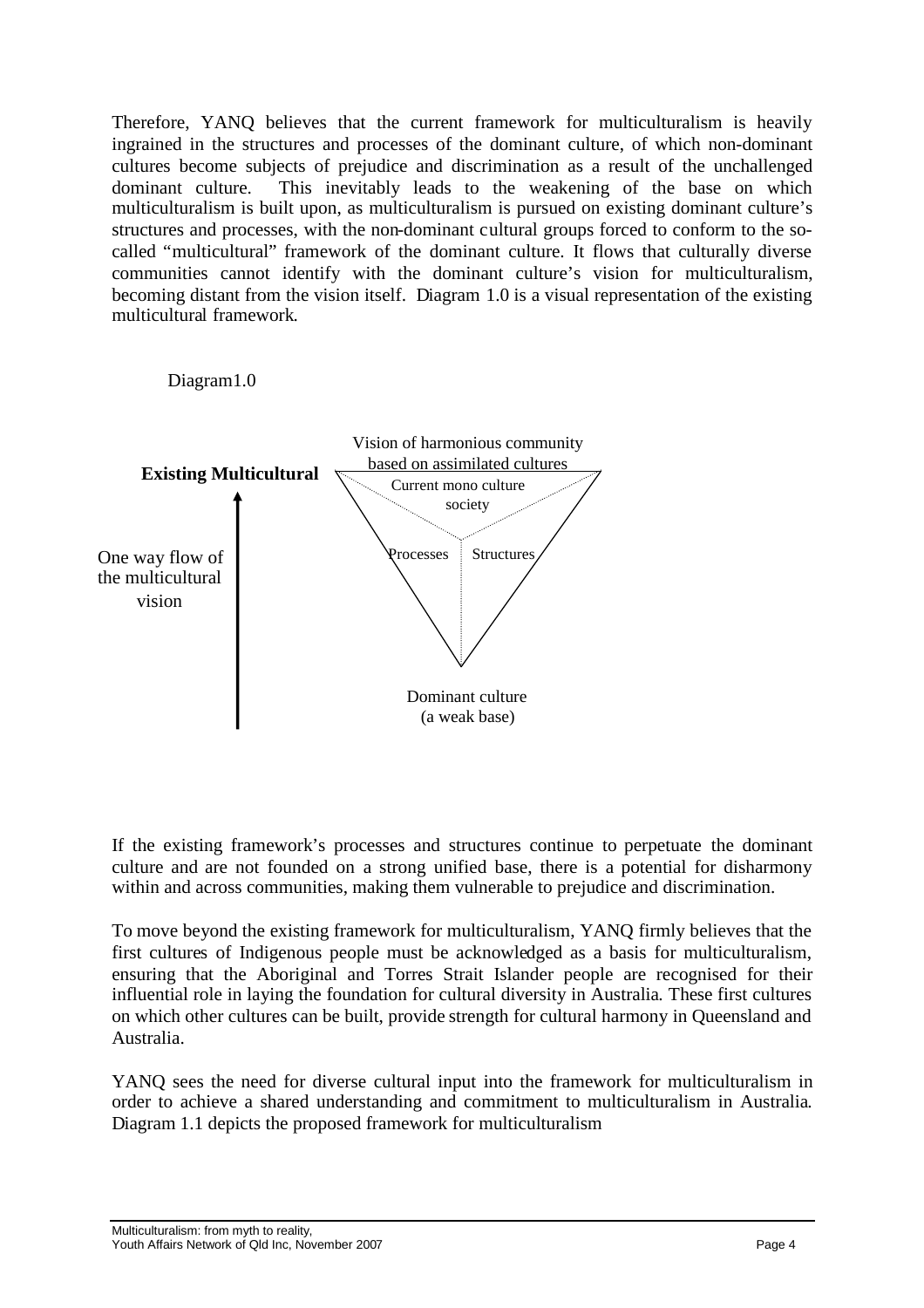Therefore, YANQ believes that the current framework for multiculturalism is heavily ingrained in the structures and processes of the dominant culture, of which non-dominant cultures become subjects of prejudice and discrimination as a result of the unchallenged dominant culture. This inevitably leads to the weakening of the base on which multiculturalism is built upon, as multiculturalism is pursued on existing dominant culture's structures and processes, with the non-dominant cultural groups forced to conform to the socalled "multicultural" framework of the dominant culture. It flows that culturally diverse communities cannot identify with the dominant culture's vision for multiculturalism, becoming distant from the vision itself. Diagram 1.0 is a visual representation of the existing multicultural framework.

Diagram1.0



If the existing framework's processes and structures continue to perpetuate the dominant culture and are not founded on a strong unified base, there is a potential for disharmony within and across communities, making them vulnerable to prejudice and discrimination.

To move beyond the existing framework for multiculturalism, YANQ firmly believes that the first cultures of Indigenous people must be acknowledged as a basis for multiculturalism, ensuring that the Aboriginal and Torres Strait Islander people are recognised for their influential role in laying the foundation for cultural diversity in Australia. These first cultures on which other cultures can be built, provide strength for cultural harmony in Queensland and Australia.

YANQ sees the need for diverse cultural input into the framework for multiculturalism in order to achieve a shared understanding and commitment to multiculturalism in Australia. Diagram 1.1 depicts the proposed framework for multiculturalism